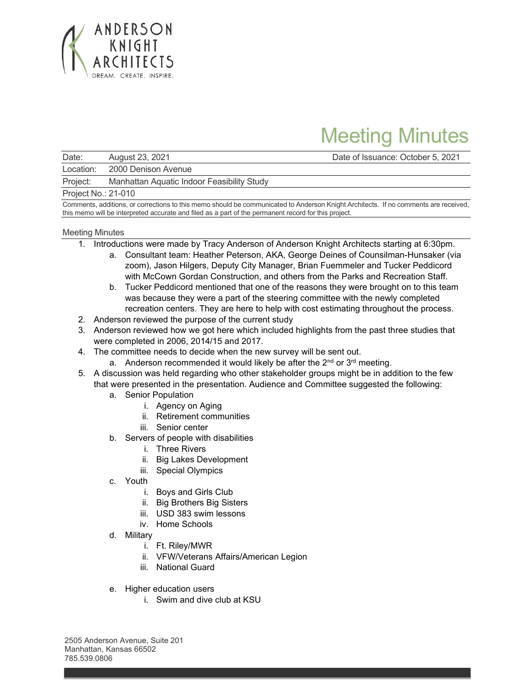

## Meeting Minutes

Date: August 23, 2021 Date of Issuance: October 5, 2021

Location: 2000 Denison Avenue

Project: Manhattan Aquatic Indoor Feasibility Study

Project No.: 21-010

Comments, additions, or corrections to this memo should be communicated to Anderson Knight Architects. If no comments are received, this memo will be interpreted accurate and filed as a part of the permanent record for this project.

## Meeting Minutes

- 1. Introductions were made by Tracy Anderson of Anderson Knight Architects starting at 6:30pm.
	- a. Consultant team: Heather Peterson, AKA, George Deines of Counsilman-Hunsaker (via zoom), Jason Hilgers, Deputy City Manager, Brian Fuemmeler and Tucker Peddicord with McCown Gordan Construction, and others from the Parks and Recreation Staff.
	- b. Tucker Peddicord mentioned that one of the reasons they were brought on to this team was because they were a part of the steering committee with the newly completed recreation centers. They are here to help with cost estimating throughout the process.
- 2. Anderson reviewed the purpose of the current study
- 3. Anderson reviewed how we got here which included highlights from the past three studies that were completed in 2006, 2014/15 and 2017.
- 4. The committee needs to decide when the new survey will be sent out.
	- a. Anderson recommended it would likely be after the  $2<sup>nd</sup>$  or  $3<sup>rd</sup>$  meeting.
- 5. A discussion was held regarding who other stakeholder groups might be in addition to the few that were presented in the presentation. Audience and Committee suggested the following:
	- a. Senior Population
		- i. Agency on Aging
		- ii. Retirement communities
		- iii. Senior center
	- b. Servers of people with disabilities
		- i. Three Rivers
		- ii. Big Lakes Development
		- iii. Special Olympics
	- c. Youth
		- i. Boys and Girls Club
		- ii. Big Brothers Big Sisters
		- iii. USD 383 swim lessons
		- iv. Home Schools
	- d. Military
		- i. Ft. Riley/MWR
		- ii. VFW/Veterans Affairs/American Legion
		- iii. National Guard
	- e. Higher education users
		- i. Swim and dive club at KSU

2505 Anderson Avenue, Suite 201 Manhattan, Kansas 66502 785.539.0806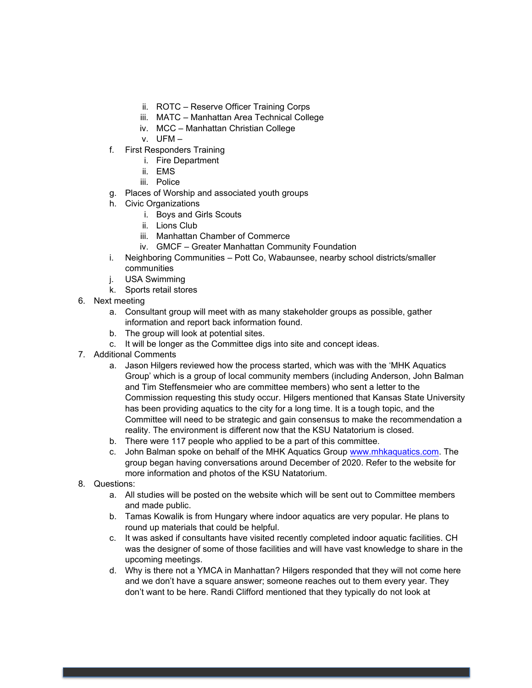- ii. ROTC Reserve Officer Training Corps
- iii. MATC Manhattan Area Technical College
- iv. MCC Manhattan Christian College
- v. UFM –
- f. First Responders Training
	- i. Fire Department
	- ii. EMS
	- iii. Police
- g. Places of Worship and associated youth groups
- h. Civic Organizations
	- i. Boys and Girls Scouts
	- ii. Lions Club
	- iii. Manhattan Chamber of Commerce
	- iv. GMCF Greater Manhattan Community Foundation
- i. Neighboring Communities Pott Co, Wabaunsee, nearby school districts/smaller communities
- j. USA Swimming
- k. Sports retail stores
- 6. Next meeting
	- a. Consultant group will meet with as many stakeholder groups as possible, gather information and report back information found.
	- b. The group will look at potential sites.
	- c. It will be longer as the Committee digs into site and concept ideas.
- 7. Additional Comments
	- a. Jason Hilgers reviewed how the process started, which was with the 'MHK Aquatics Group' which is a group of local community members (including Anderson, John Balman and Tim Steffensmeier who are committee members) who sent a letter to the Commission requesting this study occur. Hilgers mentioned that Kansas State University has been providing aquatics to the city for a long time. It is a tough topic, and the Committee will need to be strategic and gain consensus to make the recommendation a reality. The environment is different now that the KSU Natatorium is closed.
	- b. There were 117 people who applied to be a part of this committee.
	- c. John Balman spoke on behalf of the MHK Aquatics Group [www.mhkaquatics.com.](http://www.mhkaquatics.com/) The group began having conversations around December of 2020. Refer to the website for more information and photos of the KSU Natatorium.
- 8. Questions:
	- a. All studies will be posted on the website which will be sent out to Committee members and made public.
	- b. Tamas Kowalik is from Hungary where indoor aquatics are very popular. He plans to round up materials that could be helpful.
	- c. It was asked if consultants have visited recently completed indoor aquatic facilities. CH was the designer of some of those facilities and will have vast knowledge to share in the upcoming meetings.
	- d. Why is there not a YMCA in Manhattan? Hilgers responded that they will not come here and we don't have a square answer; someone reaches out to them every year. They don't want to be here. Randi Clifford mentioned that they typically do not look at